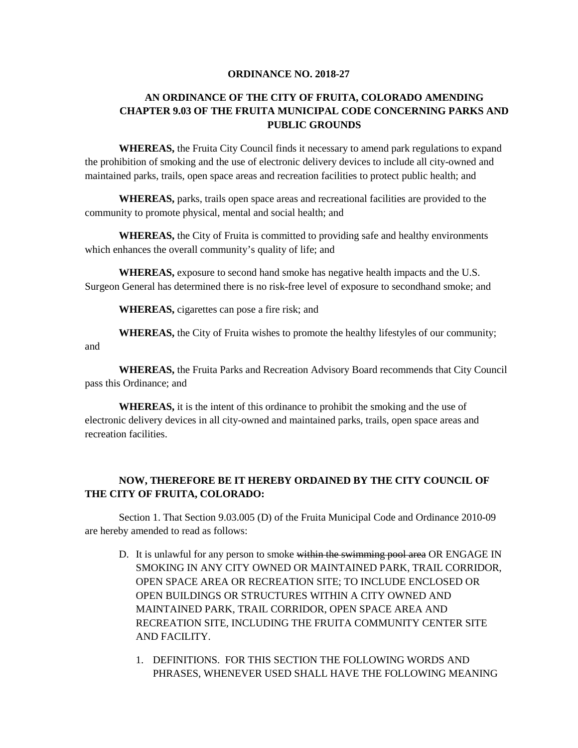## **ORDINANCE NO. 2018-27**

## **AN ORDINANCE OF THE CITY OF FRUITA, COLORADO AMENDING CHAPTER 9.03 OF THE FRUITA MUNICIPAL CODE CONCERNING PARKS AND PUBLIC GROUNDS**

**WHEREAS,** the Fruita City Council finds it necessary to amend park regulations to expand the prohibition of smoking and the use of electronic delivery devices to include all city-owned and maintained parks, trails, open space areas and recreation facilities to protect public health; and

**WHEREAS,** parks, trails open space areas and recreational facilities are provided to the community to promote physical, mental and social health; and

**WHEREAS,** the City of Fruita is committed to providing safe and healthy environments which enhances the overall community's quality of life; and

**WHEREAS,** exposure to second hand smoke has negative health impacts and the U.S. Surgeon General has determined there is no risk-free level of exposure to secondhand smoke; and

**WHEREAS,** cigarettes can pose a fire risk; and

**WHEREAS,** the City of Fruita wishes to promote the healthy lifestyles of our community; and

**WHEREAS,** the Fruita Parks and Recreation Advisory Board recommends that City Council pass this Ordinance; and

**WHEREAS,** it is the intent of this ordinance to prohibit the smoking and the use of electronic delivery devices in all city-owned and maintained parks, trails, open space areas and recreation facilities.

## **NOW, THEREFORE BE IT HEREBY ORDAINED BY THE CITY COUNCIL OF THE CITY OF FRUITA, COLORADO:**

Section 1. That Section 9.03.005 (D) of the Fruita Municipal Code and Ordinance 2010-09 are hereby amended to read as follows:

- D. It is unlawful for any person to smoke within the swimming pool area OR ENGAGE IN SMOKING IN ANY CITY OWNED OR MAINTAINED PARK, TRAIL CORRIDOR, OPEN SPACE AREA OR RECREATION SITE; TO INCLUDE ENCLOSED OR OPEN BUILDINGS OR STRUCTURES WITHIN A CITY OWNED AND MAINTAINED PARK, TRAIL CORRIDOR, OPEN SPACE AREA AND RECREATION SITE, INCLUDING THE FRUITA COMMUNITY CENTER SITE AND FACILITY.
	- 1. DEFINITIONS. FOR THIS SECTION THE FOLLOWING WORDS AND PHRASES, WHENEVER USED SHALL HAVE THE FOLLOWING MEANING